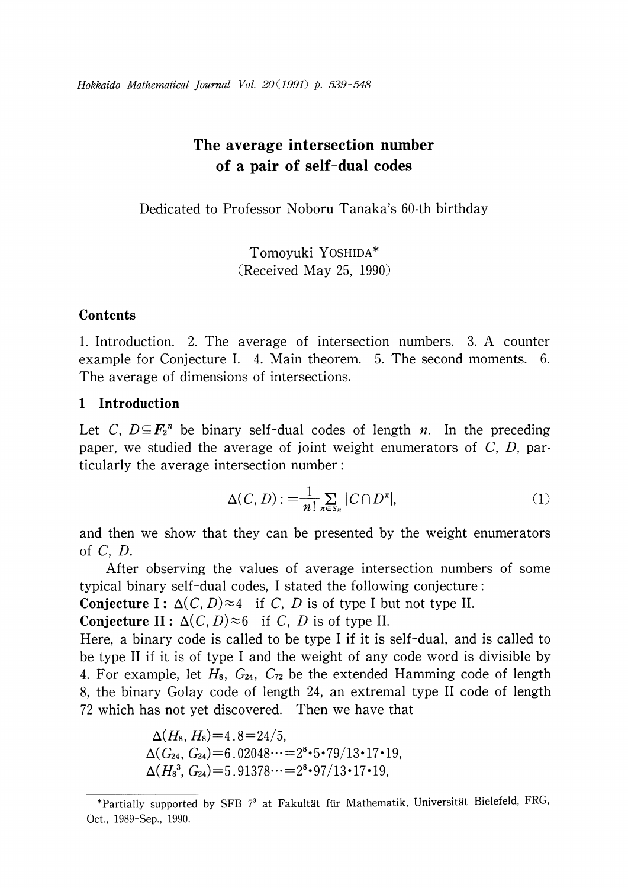# The average intersection number of a pair of self-dual codes

Dedicated to Professor Noboru Tanaka's 60-th birthday

Tomoyuki YOSHIDA\* (Received May 25, 1990)

# Contents

1. Introduction. 2. The average of intersection numbers. 3. A counter example for Conjecture I. 4. Main theorem. 5. The second moments. 6. The average of dimensions of intersections.

# 1 Introduction

Let C,  $D \subseteq \mathbf{F}_{2}^{n}$  be binary self-dual codes of length n. In the preceding paper, we studied the average of joint weight enumerators of  $C$ ,  $D$ , particularly the average intersection number:

$$
\Delta(C, D) := \frac{1}{n!} \sum_{\pi \in S_n} |C \cap D^{\pi}|,\tag{1}
$$

and then we show that they can be presented by the weight enumerators of C, D.

After observing the values of average intersection numbers of some typical binary self-dual codes, I stated the following conjecture:

**Conjecture I:**  $\Delta(C, D) \approx 4$  if C, D is of type I but not type II.

**Conjecture II:**  $\Delta(C, D) \approx 6$  if C, D is of type II.

Here, a binary code is called to be type I if it is self-dual, and is called to be type II if it is of type <sup>I</sup> and the weight of any code word is divisible by 4. For example, let  $H_8$ ,  $G_{24}$ ,  $C_{72}$  be the extended Hamming code of length 8, the binary Golay code of length 24, an extremal type II code of length 72 which has not yet discovered. Then we have that

$$
\Delta(H_8, H_8) = 4.8 = 24/5,\n\Delta(G_{24}, G_{24}) = 6.02048\cdots = 2^8 \cdot 5 \cdot 79/13 \cdot 17 \cdot 19,\n\Delta(H_8^3, G_{24}) = 5.91378\cdots = 2^8 \cdot 97/13 \cdot 17 \cdot 19,
$$

<sup>\*</sup>Partially supported by SFB  $7^{3}$  at Fakultät für Mathematik, Universität Bielefeld, FRG, Oct., 1989-Sep., 1990.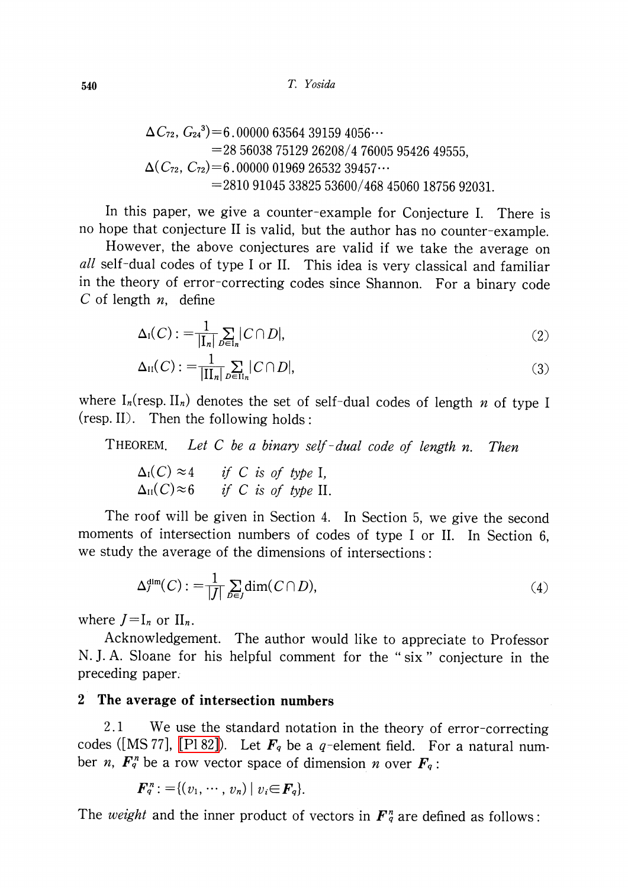#### 540 T. Yosida

$$
\Delta C_{72}, G_{24}^3 = 6.00000 63564 39159 4056\cdots
$$
  
= 28 56038 75129 26208/4 76005 95426 49555,  

$$
\Delta (C_{72}, C_{72}) = 6.00000 01969 26532 39457\cdots
$$
  
= 2810 91045 33825 53600/468 45060 18756 92031.

In this paper, we give a counter-example for Conjecture I. There is no hope that conjecture II is valid, but the author has no counter-example.

However, the above conjectures are valid if we take the average on all self-dual codes of type I or II. This idea is very classical and familiar in the theory of error-correcting codes since Shannon. For a binary code C of length  $n$ , define

$$
\Delta_{\mathrm{I}}(C) := \frac{1}{|\mathbf{I}_n|} \sum_{D \in \mathbf{I}_n} |C \cap D|,\tag{2}
$$

$$
\Delta_{\rm II}(C) := \frac{1}{|\Pi_n|} \sum_{D \in \Pi_n} |C \cap D|,\tag{3}
$$

where  $I_{n}(resp. II_{n})$  denotes the set of self-dual codes of length n of type I (resp. II). Then the following holds:

THEOREM. Let C be a binary self-dual code of length n. Then

 $\Delta_{1}(C)\approx 4\ \Delta_{11}(C)\approx 6$ if  $C$  is of type I. if C is of type II.

The roof will be given in Section 4. In Section 5, we give the second moments of intersection numbers of codes of type <sup>I</sup> or II. In Section 6, we study the average of the dimensions of intersections:

$$
\Delta_J^{\dim}(C) := \frac{1}{|J|} \sum_{D \in J} \dim(C \cap D),\tag{4}
$$

where  $J=I_{n}$  or  $II_{n}$ .

Acknowledgement. The author would like to appreciate to Professor N. J. A. Sloane for his helpful comment for the " six " conjecture in the preceding paper.

## 2 The average of intersection numbers

2.1 We use the standard notation in the theory of error-correcting codes ([MS77], [P182]). Let  $\mathbf{F}_{q}$  be a q-element field. For a natural number *n*,  $F_{q}^{n}$  be a row vector space of dimension *n* over  $F_{q}$ :

$$
\bm{F}_q^n := \{(v_1, \cdots, v_n) \mid v_i \in \bm{F}_q\}.
$$

The weight and the inner product of vectors in  $F_{q}^{n}$  are defined as follows: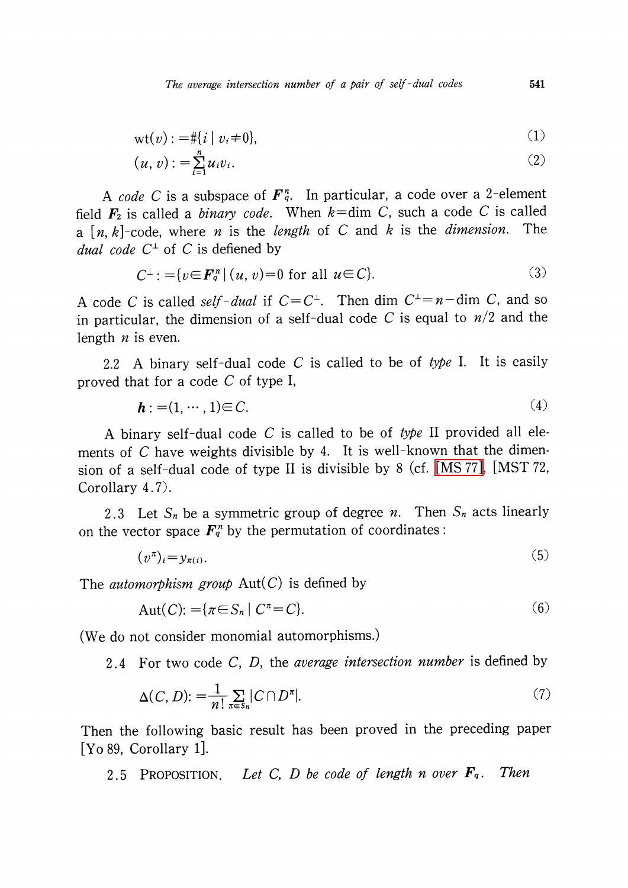The average intersection number of a pair of self-dual codes 541

$$
\operatorname{wt}(v) := \# \{ i \mid v_i \neq 0 \},\tag{1}
$$

$$
(u, v) := \sum_{i=1}^{n} u_i v_i.
$$
 (2)

A code C is a subspace of  $\mathbf{F}_{q}^{n}$ . In particular, a code over a 2-element field  $\mathbf{F}_{2}$  is called a *binary code*. When  $k=\dim C$ , such a code C is called a  $[n, k]$ -code, where *n* is the *length* of *C* and *k* is the *dimension*. The *dual code*  $C^{\perp}$  of C is defiened by

$$
C^{\perp} := \{ v \in \mathbf{F}_q^n \mid (u, v) = 0 \text{ for all } u \in C \}. \tag{3}
$$

A code C is called self-dual if  $C = C^{\perp}$ . Then dim  $C^{\perp} = n - \dim C$ , and so in particular, the dimension of a self-dual code C is equal to  $n/2$  and the length  $n$  is even.

2.2 A binary self-dual code  $C$  is called to be of type I. It is easily proved that for a code C of type I,

$$
\mathbf{h} : = (1, \cdots, 1) \in C. \tag{4}
$$

A binary self-dual code  $C$  is called to be of type II provided all elements of  $C$  have weights divisible by 4. It is well-known that the dimension of <sup>a</sup> self-dual code of type II is divisible by <sup>8</sup> (cf. [\[MS](#page-9-1) 77], [MST 72, Corollary 4.7).

2.3 Let  $S_{n}$  be a symmetric group of degree n. Then  $S_{n}$  acts linearly on the vector space  $\mathbf{F}_q^{n}$  by the permutation of coordinates:

$$
(\nu^{\pi})_i = y_{\pi(i)}.\tag{5}
$$

The *automorphism group*  $Aut(C)$  is defined by

$$
Aut(C): = \{ \pi \in S_n \mid C^{\pi} = C \}. \tag{6}
$$

(We do not consider monomial automorphisms.)

2.4 For two code C, D, the *average intersection number* is defined by

$$
\Delta(C, D) := \frac{1}{n!} \sum_{\pi \in S_n} |C \cap D^{\pi}|. \tag{7}
$$

Then the following basic result has been proved in the preceding paper [Yo 89, Corollary 1].

<span id="page-2-0"></span>2.5 PROPOSITION. Let C, D be code of length n over  $\mathbf{F}_q$ . . Then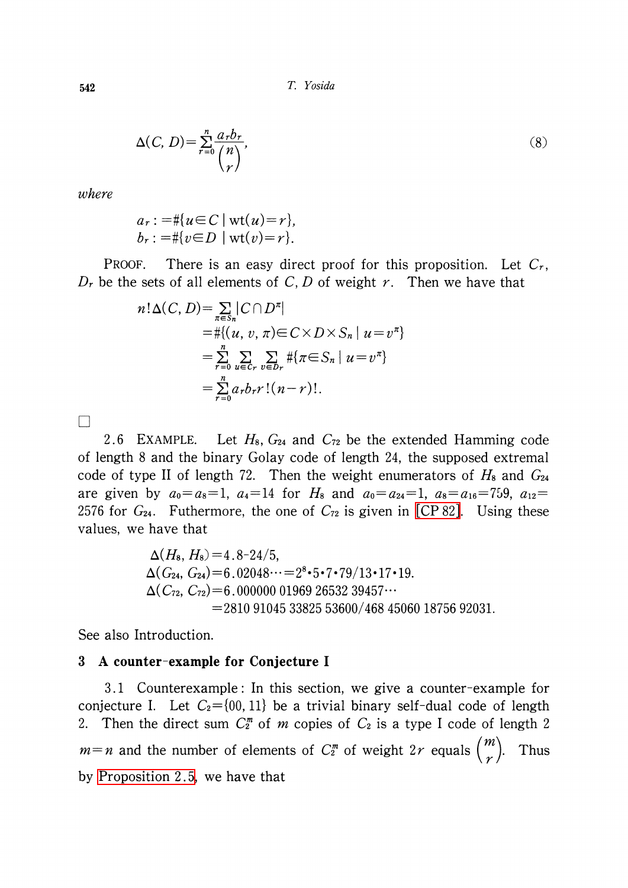$$
\Delta(C, D) = \sum_{r=0}^{n} \frac{a_r b_r}{\binom{n}{r}},\tag{8}
$$

where

 $\Box$ 

$$
a_r := #\{u \in C \mid \text{wt}(u) = r\},
$$
  

$$
b_r := #\{v \in D \mid \text{wt}(v) = r\}.
$$

PROOF. There is an easy direct proof for this proposition. Let  $C_{r}$ ,  $D_{r}$  be the sets of all elements of C, D of weight r. Then we have that

$$
n! \Delta(C, D) = \sum_{\pi \in S_n} |C \cap D^{\pi}|
$$
  
=  $\# \{(u, v, \pi) \in C \times D \times S_n | u = v^{\pi} \}$   
=  $\sum_{r=0}^{n} \sum_{u \in C_r} \sum_{v \in D_r} \# \{\pi \in S_n | u = v^{\pi} \}$   
=  $\sum_{r=0}^{n} a_r b_r r! (n-r)!.$ 

 $2.6$  EXAMPLE. Let  $H_8$ ,  $G_{24}$  and  $C_{72}$  be the extended Hamming code of length <sup>8</sup> and the binary Golay code of length 24, the supposed extremal code of type II of length 72. Then the weight enumerators of  $H_{8}$  and  $G_{24}$ are given by  $a_{0}=a_{8}=1 , a_{4}=14$  for  $H_{8}$  and  $a_{0}=a_{24}=1 , a_{8}=a_{16}=7_{\b}9, a_{12}=8_{\b}$ 2576 for  $G_{24}$ . Futhermore, the one of  $C_{72}$  is given in [\[CP](#page-9-2) 82]. Using these values, we have that

$$
\Delta(H_8, H_8) = 4.8-24/5,
$$
  
\n
$$
\Delta(G_{24}, G_{24}) = 6.02048\cdots = 2^8 \cdot 5 \cdot 7 \cdot 79/13 \cdot 17 \cdot 19.
$$
  
\n
$$
\Delta(C_{72}, C_{72}) = 6.000000019692653239457\cdots
$$
  
\n= 2810910453382553600/468450601875692031.

See also Introduction.

#### 3 A counter-example for Conjecture I

3.1 Counterexample: In this section, we give a counter-example for conjecture I. Let  $C_{2}=\{00,11\}$  be a trivial binary self-dual code of length 2. Then the direct sum  $C_{2}^{m}$  of m copies of  $C_{2}$  is a type I code of length 2  $m=n$  and the number of elements of  $C_{2}^{m}$  of weight  $2r$  equals  $\binom{m}{r}$ . . Thus by [Proposition](#page-2-0) 2.5, we have that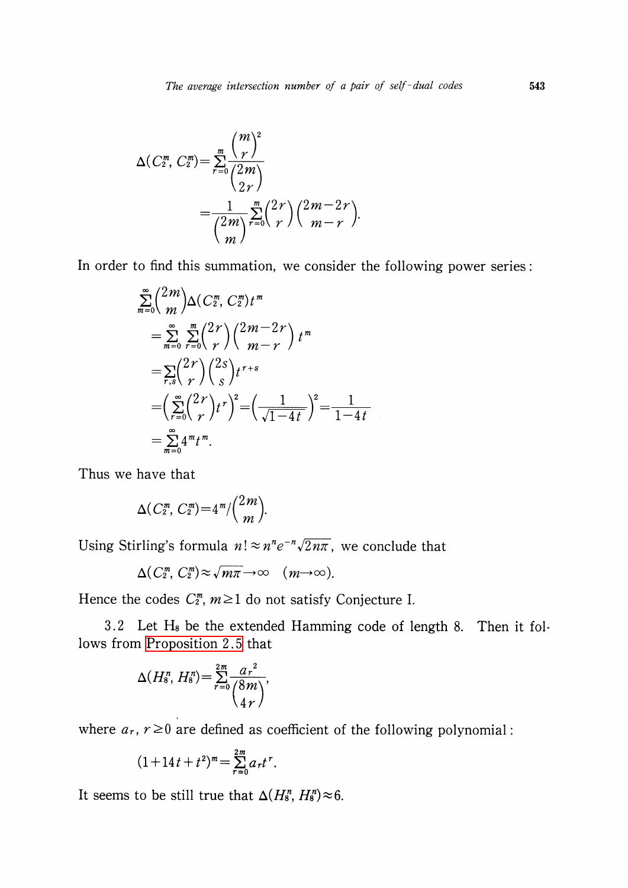$$
\Delta(C_2^m, C_2^m) = \sum_{r=0}^m \frac{\binom{m}{r}^2}{\binom{2m}{2r}} \\
= \frac{1}{\binom{2m}{m}} \sum_{r=0}^m \binom{2r}{r} \binom{2m-2r}{m-r}.
$$

In order to find this summation, we consider the following power series:

$$
\sum_{m=0}^{\infty} {2m \choose m} \Delta(C_2^m, C_2^m) t^m
$$
  
= 
$$
\sum_{m=0}^{\infty} \sum_{r=0}^m {2r \choose r} {2m-2r \choose m-r} t^m
$$
  
= 
$$
\sum_{r,s} {2r \choose r} {2s \choose s} t^{r+s}
$$
  
= 
$$
\left(\sum_{r=0}^{\infty} {2r \choose r} t^r \right)^2 = \left(\frac{1}{\sqrt{1-4t}}\right)^2 = \frac{1}{1-4t}
$$
  
= 
$$
\sum_{m=0}^{\infty} 4^m t^m.
$$

Thus we have that

$$
\Delta(C_2^m, C_2^m)=4^m/\binom{2m}{m}.
$$

Using Stirling's formula  $n! \approx n^{n}e^{-n}\sqrt{2n\pi}$ , we conclude that

$$
\Delta(C_2^m, C_2^m) \approx \sqrt{m\pi} \rightarrow \infty \quad (m \rightarrow \infty).
$$

Hence the codes  $C_{2}^{\textit{m}},$   $m\!\geq\! 1$  do not satisfy Conjecture I.

3.2 Let  $H_{8}$  be the extended Hamming code of length 8. Then it follows from [Proposition](#page-2-0) 2.5 that

$$
\Delta(H_8^n, H_8^n) = \sum_{r=0}^{2m} \frac{a_r^2}{\binom{8m}{4r}},
$$

where  $a_{r}$ ,  $r\geq 0$  are defined as coefficient of the following polynomial:

$$
(1+14t+t^2)^m = \sum_{r=0}^{2m} a_r t^r.
$$

It seems to be still true that  $\Delta(H_{8}^{n}, H_{8}^{n})\!\approx\! 6.$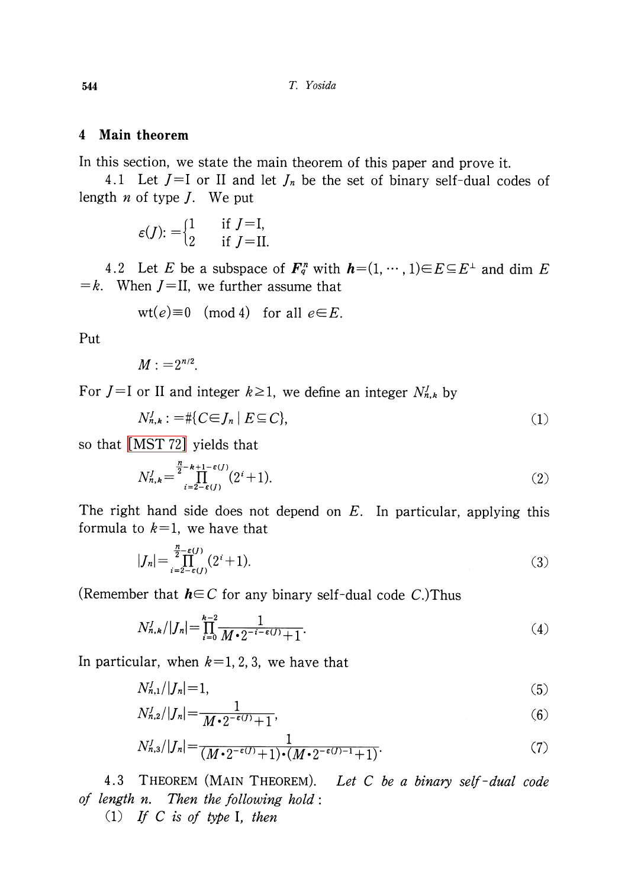#### 4 Main theorem

In this section, we state the main theorem of this paper and prove it.

4.1 Let  $J=I$  or II and let  $J_{n}$  be the set of binary self-dual codes of length  $n$  of type  $J$ . We put

$$
\varepsilon(J) := \begin{cases} 1 & \text{if } J = I, \\ 2 & \text{if } J = II. \end{cases}
$$

4.2 Let E be a subspace of  $\mathbf{F}_{q}^{n}$  with  $\mathbf{h}=(1, \cdots, 1)\in E\subseteq E^{\perp}$  and dim E  $=k$ . When  $J=II$ , we further assume that

$$
\mathrm{wt}(e){\equiv}0\pmod{4}\quad\text{for all}\,\,e{\in}E.
$$

Put

$$
M:=2^{n/2}.
$$

For  $J=$  I or II and integer  $k\geq 1$ , we define an integer  $N_{n,k}^{J}$  by

$$
N_{n,k}^J := \# \{ C \in J_n \mid E \subseteq C \},\tag{1}
$$

so that [\[MST](#page-9-3) 72] yields that

$$
N_{n,k}^J = \prod_{i=2-\epsilon(J)}^{n-k+1-\epsilon(J)} (2^i+1). \tag{2}
$$

The right hand side does not depend on  $E$ . In particular, applying this formula to  $k=1$ , we have that

$$
|J_n| = \prod_{i=2-\epsilon(j)}^{n-\epsilon(j)} (2^i + 1).
$$
 (3)

(Remember that  $h\in C$  for any binary self-dual code C.)Thus

$$
N'_{n,k}/|J_n| = \prod_{i=0}^{k-2} \frac{1}{M \cdot 2^{-i-\epsilon(j)} + 1}.
$$
\n
$$
\tag{4}
$$

In particular, when  $k=1,2,3$ , we have that

$$
N_{n,1}^J / |J_n| = 1,\tag{5}
$$

$$
N_{n,2}^J/|J_n| = \frac{1}{M \cdot 2^{-\epsilon(J)} + 1},\tag{6}
$$

$$
N_{n,3}^J \vert J_n \vert = \frac{1}{(M \cdot 2^{-\epsilon(J)} + 1) \cdot (M \cdot 2^{-\epsilon(J)-1} + 1)}.\tag{7}
$$

4.3 THEOREM (MAIN THEOREM). Let <sup>C</sup> be a binary self-dual code of length n. Then the following hold:

(1) If C is of type I, then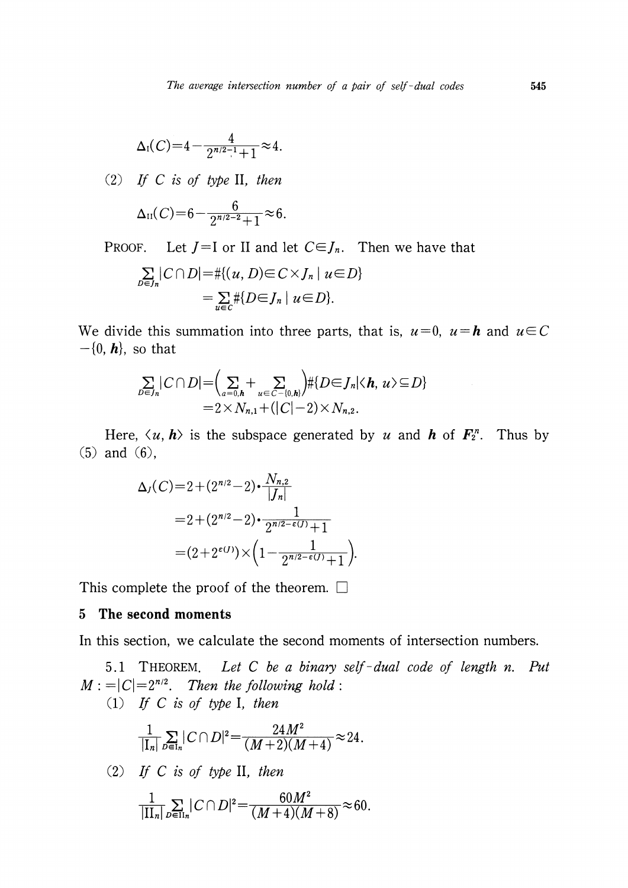$$
\Delta_{1}(C) = 4 - \frac{4}{2^{n/2-1}+1} \approx 4.
$$

(2) If C is of type II, then

$$
\Delta_{II}(C) = 6 - \frac{6}{2^{n/2-2}+1} \approx 6.
$$

PROOF. Let  $J=I$  or II and let  $C\in J_{n}$ . Then we have that

$$
\sum_{D \in J_n} |C \cap D| = \# \{(u, D) \in C \times J_n \mid u \in D\}
$$

$$
= \sum_{u \in C} \# \{D \in J_n \mid u \in D\}.
$$

We divide this summation into three parts, that is,  $u=0$ ,  $u=h$  and  $u\in C$  $-\{0, h\}$ , so that

$$
\sum_{D\in J_n} |C\cap D| = \left(\sum_{a=0,\mathbf{h}} + \sum_{u\in C-\{0,\mathbf{h}\}} + \left|E\right| D\in J_n | \langle \mathbf{h}, u \rangle \subseteq D\right|
$$
  
= 2 \times N\_{n,1} + \left(|C|-2\right) \times N\_{n,2}.

Here,  $\langle u, h \rangle$  is the subspace generated by u and h of  $\mathbf{F}_{2}^{n}$ . Thus by (5) and (6),

$$
\Delta_J(C) = 2 + (2^{n/2} - 2) \cdot \frac{N_{n,2}}{|J_n|}
$$
  
= 2 + (2^{n/2} - 2) \cdot \frac{1}{2^{n/2 - \epsilon(J)} + 1}  
= (2 + 2^{\epsilon(J)}) \times \left(1 - \frac{1}{2^{n/2 - \epsilon(J)} + 1}\right).

This complete the proof of the theorem.  $\square$ 

#### 5 The second moments

In this section, we calculate the second moments of intersection numbers.

5.1 THEOREM. Let C be a binary self-dual code of length n. Put  $M := |C|=2^{n/2}$ . Then the following hold:

(1) If <sup>C</sup> is of type I, then

$$
\frac{1}{|\mathrm{I}_n|}\sum_{D\in\mathrm{I}_n}|C\cap D|^2=\frac{24M^2}{(M+2)(M+4)}\approx 24.
$$

(2) If C is of type II, then

$$
\frac{1}{|\Pi_n|}\sum_{D\in\Pi_n}|C\cap D|^2 = \frac{60M^2}{(M+4)(M+8)} \approx 60.
$$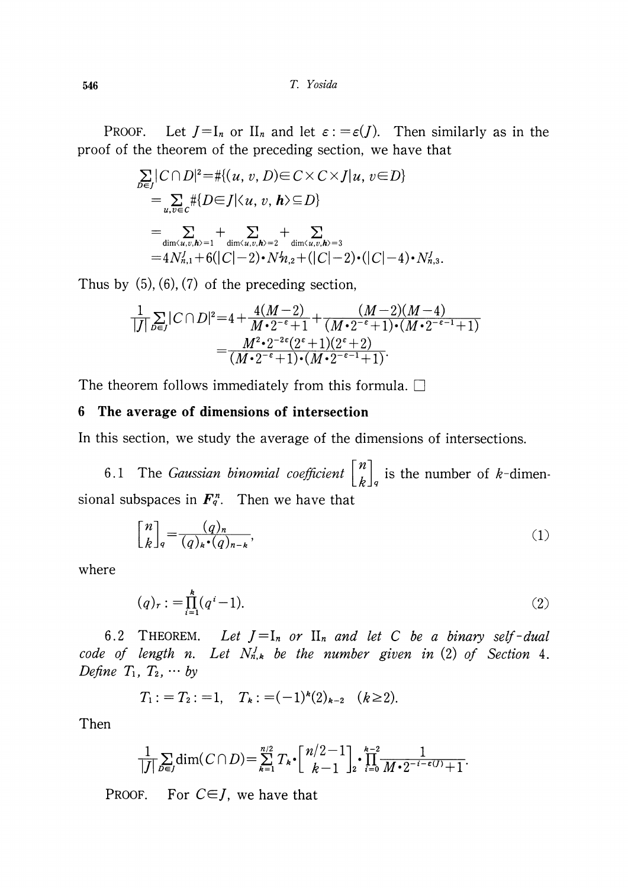546 T. Yosida

PROOF. Let  $J=I_{n}$  or  $II_{n}$  and let  $\varepsilon:=\varepsilon(J)$ . Then similarly as in the proof of the theorem of the preceding section, we have that

$$
\sum_{D \in J} |C \cap D|^2 = \#\{(u, v, D) \in C \times C \times J | u, v \in D\}
$$
\n
$$
= \sum_{u, v \in C} \#\{D \in J | \langle u, v, h \rangle \subseteq D\}
$$
\n
$$
= \sum_{\dim \langle u, v, h \rangle = 1} + \sum_{\dim \langle u, v, h \rangle = 2} + \sum_{\dim \langle u, v, h \rangle = 3}
$$
\n
$$
= 4N_{n,1}^J + 6(|C| - 2) \cdot N_{n,2}^J + (|C| - 2) \cdot (|C| - 4) \cdot N_{n,3}^J.
$$

Thus by  $(5)$ ,  $(6)$ ,  $(7)$  of the preceding section,

$$
\frac{1}{|J|}\sum_{D\in J}|C\cap D|^2 = 4 + \frac{4(M-2)}{M\cdot 2^{-\epsilon}+1} + \frac{(M-2)(M-4)}{(M\cdot 2^{-\epsilon}+1)\cdot (M\cdot 2^{-\epsilon-1}+1)}
$$

$$
= \frac{M^2\cdot 2^{-2\epsilon}(2^{\epsilon}+1)(2^{\epsilon}+2)}{(M\cdot 2^{-\epsilon}+1)\cdot (M\cdot 2^{-\epsilon-1}+1)}.
$$

The theorem follows immediately from this formula.  $\square$ 

## 6 The average of dimensions of intersection

In this section, we study the average of the dimensions of intersections.

6.1 The *Gaussian binomial coefficient*  $\begin{bmatrix} n \\ k \end{bmatrix}_q$  is the number of k-dimensional subspaces in  $\boldsymbol{F}_{q}^{n}$ . Then we have that

$$
\begin{bmatrix} n \\ k \end{bmatrix}_q = \frac{(q)_n}{(q)_k \cdot (q)_{n-k}},\tag{1}
$$

where

$$
(q)_r := \prod_{i=1}^k (q^i - 1). \tag{2}
$$

6.2 THEOREM. Let  $J=I_{n}$  or  $II_{n}$  and let C be a binary self-dual code of length n. Let  $N_{n,k}^{J}$  be the number given in (2) of Section 4. Define  $T_1, T_2, \cdots$  by

$$
T_1:=T_2:=1, \quad T_k:=(-1)^k(2)_{k-2} \quad (k\geq 2).
$$

Then

$$
\frac{1}{|J|}\sum_{D\in J}\dim(C\cap D)=\sum_{k=1}^{n/2}T_k\cdot\left[\frac{n/2-1}{k-1}\right]_2\cdot\prod_{i=0}^{k-2}\frac{1}{M\cdot 2^{-i-\epsilon(j)}+1}.
$$

PROOF. For  $C \in J$ , we have that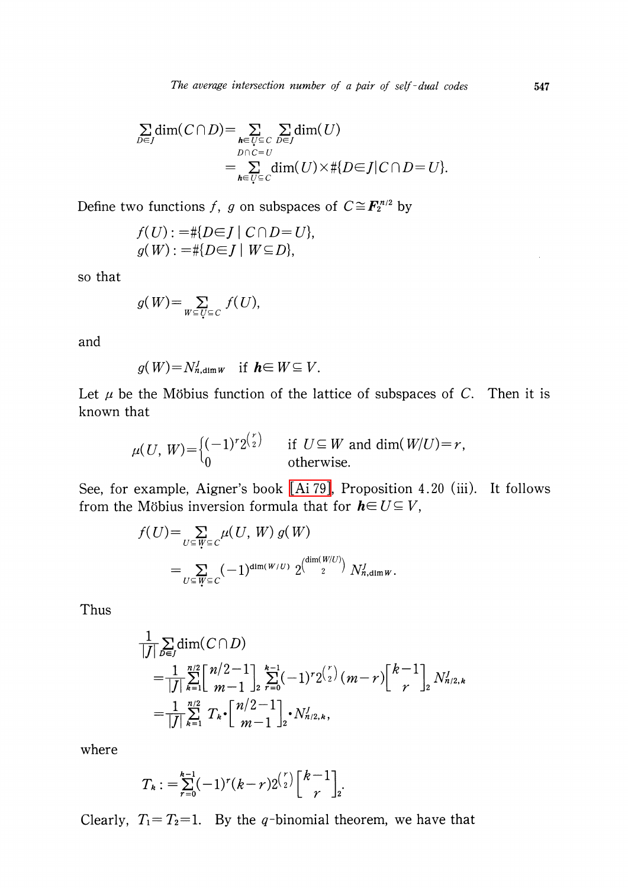$$
\sum_{D \in J} \dim(C \cap D) = \sum_{\substack{h \in U \subseteq C \\ D \cap C = U}} \sum_{D \in J} \dim(U)
$$
  
= 
$$
\sum_{h \in U \subseteq C} \dim(U) \times \#\{D \in J \mid C \cap D = U\}.
$$

Define two functions f, g on subspaces of  $C \cong \mathbf{F}_{2}^{n/2}$  by

$$
f(U) := #\{D \in J \mid C \cap D = U\},
$$
  

$$
g(W) := #\{D \in J \mid W \subseteq D\},
$$

so that

$$
g(W) = \sum_{W \subseteq U \subseteq C} f(U),
$$

and

$$
g(W) = N_{n,\dim W}^J \quad \text{if} \quad h \in W \subseteq V.
$$

Let  $\mu$  be the Möbius function of the lattice of subspaces of C. Then it is known that

$$
\mu(U, W) = \begin{cases} (-1)^r 2^{\binom{r}{2}} & \text{if } U \subseteq W \text{ and } \dim(W/U) = r, \\ 0 & \text{otherwise.} \end{cases}
$$

See, for example, Aigner's book [\[Ai](#page-9-4) 79], Proposition 4.20 (iii). It follows from the Möbius inversion formula that for  $h\in U\subseteq V$ ,

$$
f(U) = \sum_{U \subseteq W \subseteq C} \mu(U, W) g(W)
$$
  
= 
$$
\sum_{U \subseteq W \subseteq C} (-1)^{\dim(W/U)} 2^{\left(\dim(W/U)\right)} N_{n,\dim W}^J.
$$

Thus

$$
\frac{1}{|J|} \sum_{D \in J} \dim(C \cap D)
$$
\n
$$
= \frac{1}{|J|} \sum_{k=1}^{n/2} \left[ \frac{n/2 - 1}{m - 1} \right]_{2}^{k-1} \sum_{r=0}^{k-1} (-1)^{r} 2^{\binom{r}{2}} (m - r) \left[ \frac{k-1}{r} \right]_{2} N_{n/2,k}^{J}
$$
\n
$$
= \frac{1}{|J|} \sum_{k=1}^{n/2} T_{k} \cdot \left[ \frac{n/2 - 1}{m - 1} \right]_{2} \cdot N_{n/2,k}^{J},
$$

where

$$
T_{k} := \sum_{r=0}^{k-1} (-1)^{r} (k-r) 2^{\binom{r}{2}} \binom{k-1}{r}_{2}.
$$

Clearly,  $T_{1}=T_{2}=1$ . By the q-binomial theorem, we have that